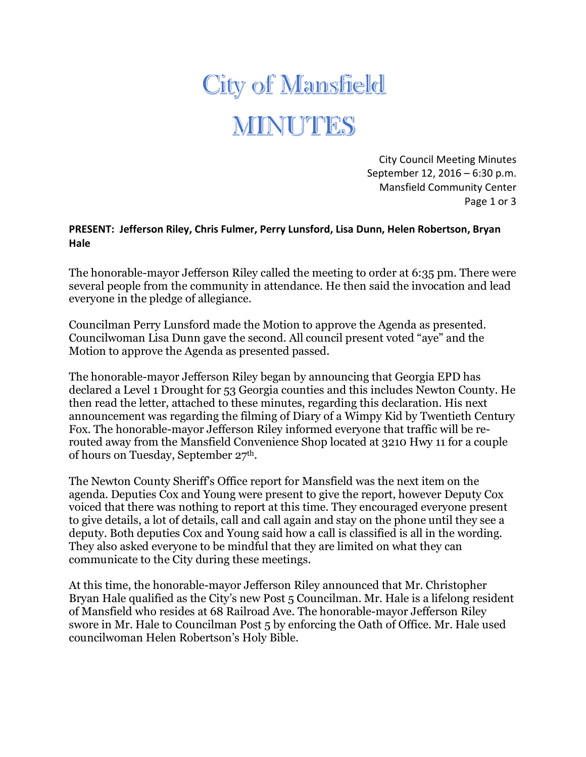## **City of Mansfield** MINUTES

City Council Meeting Minutes September 12, 2016 – 6:30 p.m. Mansfield Community Center Page 1 or 3

## **PRESENT: Jefferson Riley, Chris Fulmer, Perry Lunsford, Lisa Dunn, Helen Robertson, Bryan Hale**

The honorable-mayor Jefferson Riley called the meeting to order at 6:35 pm. There were several people from the community in attendance. He then said the invocation and lead everyone in the pledge of allegiance.

Councilman Perry Lunsford made the Motion to approve the Agenda as presented. Councilwoman Lisa Dunn gave the second. All council present voted "aye" and the Motion to approve the Agenda as presented passed.

The honorable-mayor Jefferson Riley began by announcing that Georgia EPD has declared a Level 1 Drought for 53 Georgia counties and this includes Newton County. He then read the letter, attached to these minutes, regarding this declaration. His next announcement was regarding the filming of Diary of a Wimpy Kid by Twentieth Century Fox. The honorable-mayor Jefferson Riley informed everyone that traffic will be rerouted away from the Mansfield Convenience Shop located at 3210 Hwy 11 for a couple of hours on Tuesday, September 27th.

The Newton County Sheriff's Office report for Mansfield was the next item on the agenda. Deputies Cox and Young were present to give the report, however Deputy Cox voiced that there was nothing to report at this time. They encouraged everyone present to give details, a lot of details, call and call again and stay on the phone until they see a deputy. Both deputies Cox and Young said how a call is classified is all in the wording. They also asked everyone to be mindful that they are limited on what they can communicate to the City during these meetings.

At this time, the honorable-mayor Jefferson Riley announced that Mr. Christopher Bryan Hale qualified as the City's new Post 5 Councilman. Mr. Hale is a lifelong resident of Mansfield who resides at 68 Railroad Ave. The honorable-mayor Jefferson Riley swore in Mr. Hale to Councilman Post 5 by enforcing the Oath of Office. Mr. Hale used councilwoman Helen Robertson's Holy Bible.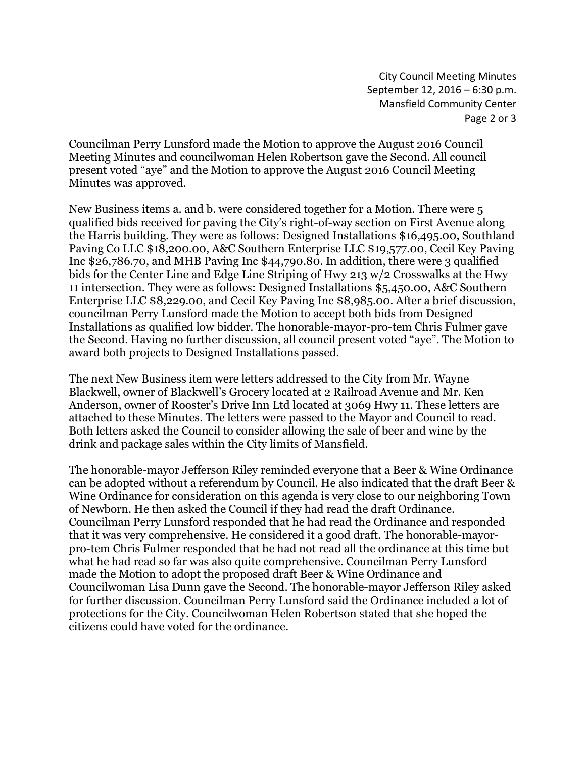City Council Meeting Minutes September 12, 2016 – 6:30 p.m. Mansfield Community Center Page 2 or 3

Councilman Perry Lunsford made the Motion to approve the August 2016 Council Meeting Minutes and councilwoman Helen Robertson gave the Second. All council present voted "aye" and the Motion to approve the August 2016 Council Meeting Minutes was approved.

New Business items a. and b. were considered together for a Motion. There were 5 qualified bids received for paving the City's right-of-way section on First Avenue along the Harris building. They were as follows: Designed Installations \$16,495.00, Southland Paving Co LLC \$18,200.00, A&C Southern Enterprise LLC \$19,577.00, Cecil Key Paving Inc \$26,786.70, and MHB Paving Inc \$44,790.80. In addition, there were 3 qualified bids for the Center Line and Edge Line Striping of Hwy 213 w/2 Crosswalks at the Hwy 11 intersection. They were as follows: Designed Installations \$5,450.00, A&C Southern Enterprise LLC \$8,229.00, and Cecil Key Paving Inc \$8,985.00. After a brief discussion, councilman Perry Lunsford made the Motion to accept both bids from Designed Installations as qualified low bidder. The honorable-mayor-pro-tem Chris Fulmer gave the Second. Having no further discussion, all council present voted "aye". The Motion to award both projects to Designed Installations passed.

The next New Business item were letters addressed to the City from Mr. Wayne Blackwell, owner of Blackwell's Grocery located at 2 Railroad Avenue and Mr. Ken Anderson, owner of Rooster's Drive Inn Ltd located at 3069 Hwy 11. These letters are attached to these Minutes. The letters were passed to the Mayor and Council to read. Both letters asked the Council to consider allowing the sale of beer and wine by the drink and package sales within the City limits of Mansfield.

The honorable-mayor Jefferson Riley reminded everyone that a Beer & Wine Ordinance can be adopted without a referendum by Council. He also indicated that the draft Beer & Wine Ordinance for consideration on this agenda is very close to our neighboring Town of Newborn. He then asked the Council if they had read the draft Ordinance. Councilman Perry Lunsford responded that he had read the Ordinance and responded that it was very comprehensive. He considered it a good draft. The honorable-mayorpro-tem Chris Fulmer responded that he had not read all the ordinance at this time but what he had read so far was also quite comprehensive. Councilman Perry Lunsford made the Motion to adopt the proposed draft Beer & Wine Ordinance and Councilwoman Lisa Dunn gave the Second. The honorable-mayor Jefferson Riley asked for further discussion. Councilman Perry Lunsford said the Ordinance included a lot of protections for the City. Councilwoman Helen Robertson stated that she hoped the citizens could have voted for the ordinance.